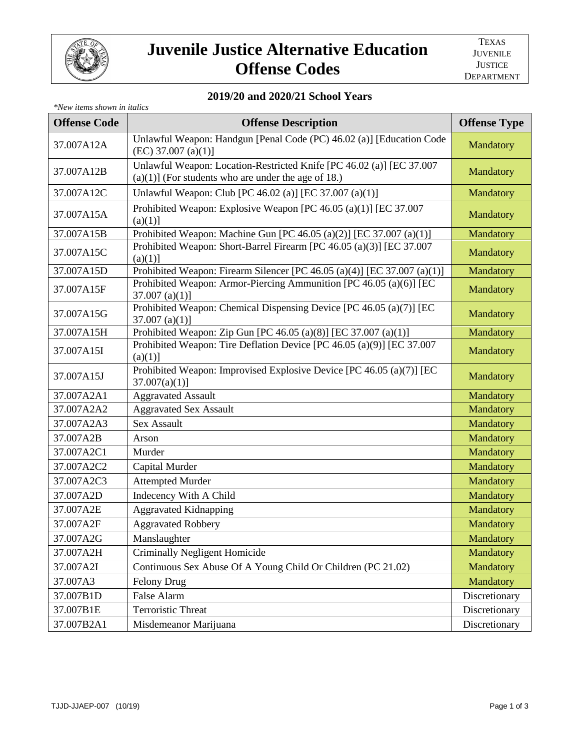

## **Juvenile Justice Alternative Education Offense Codes**

## **2019/20 and 2020/21 School Years**

| *New items shown in italics |                                                                                                                                |                     |  |  |
|-----------------------------|--------------------------------------------------------------------------------------------------------------------------------|---------------------|--|--|
| <b>Offense Code</b>         | <b>Offense Description</b>                                                                                                     | <b>Offense Type</b> |  |  |
| 37.007A12A                  | Unlawful Weapon: Handgun [Penal Code (PC) 46.02 (a)] [Education Code<br>$(EC)$ 37.007 $(a)(1)$ ]                               | Mandatory           |  |  |
| 37.007A12B                  | Unlawful Weapon: Location-Restricted Knife [PC 46.02 (a)] [EC 37.007<br>$(a)(1)$ ] (For students who are under the age of 18.) | Mandatory           |  |  |
| 37.007A12C                  | Unlawful Weapon: Club [PC 46.02 (a)] [EC 37.007 (a)(1)]                                                                        | Mandatory           |  |  |
| 37.007A15A                  | Prohibited Weapon: Explosive Weapon [PC 46.05 (a)(1)] [EC 37.007<br>(a)(1)]                                                    | Mandatory           |  |  |
| 37.007A15B                  | Prohibited Weapon: Machine Gun [PC 46.05 (a)(2)] [EC 37.007 (a)(1)]                                                            | Mandatory           |  |  |
| 37.007A15C                  | Prohibited Weapon: Short-Barrel Firearm [PC 46.05 (a)(3)] [EC 37.007<br>(a)(1)]                                                | Mandatory           |  |  |
| 37.007A15D                  | Prohibited Weapon: Firearm Silencer [PC 46.05 (a)(4)] [EC 37.007 (a)(1)]                                                       | Mandatory           |  |  |
| 37.007A15F                  | Prohibited Weapon: Armor-Piercing Ammunition [PC 46.05 (a)(6)] [EC<br>37.007 (a)(1)                                            | Mandatory           |  |  |
| 37.007A15G                  | Prohibited Weapon: Chemical Dispensing Device [PC 46.05 (a)(7)] [EC<br>$37.007$ (a)(1)]                                        | Mandatory           |  |  |
| 37.007A15H                  | Prohibited Weapon: Zip Gun [PC 46.05 (a)(8)] [EC 37.007 (a)(1)]                                                                | Mandatory           |  |  |
| 37.007A15I                  | Prohibited Weapon: Tire Deflation Device [PC 46.05 (a)(9)] [EC 37.007<br>(a)(1)]                                               | Mandatory           |  |  |
| 37.007A15J                  | Prohibited Weapon: Improvised Explosive Device [PC 46.05 (a)(7)] [EC<br>$37.007(a)(1)$ ]                                       | Mandatory           |  |  |
| 37.007A2A1                  | <b>Aggravated Assault</b>                                                                                                      | Mandatory           |  |  |
| 37.007A2A2                  | <b>Aggravated Sex Assault</b>                                                                                                  | Mandatory           |  |  |
| 37.007A2A3                  | <b>Sex Assault</b>                                                                                                             | Mandatory           |  |  |
| 37.007A2B                   | Arson                                                                                                                          | Mandatory           |  |  |
| 37.007A2C1                  | Murder                                                                                                                         | Mandatory           |  |  |
| 37.007A2C2                  | Capital Murder                                                                                                                 | Mandatory           |  |  |
| 37.007A2C3                  | <b>Attempted Murder</b>                                                                                                        | Mandatory           |  |  |
| 37.007A2D                   | Indecency With A Child                                                                                                         | Mandatory           |  |  |
| 37.007A2E                   | <b>Aggravated Kidnapping</b>                                                                                                   | Mandatory           |  |  |
| 37.007A2F                   | Aggravated Robbery                                                                                                             | Mandatory           |  |  |
| 37.007A2G                   | Manslaughter                                                                                                                   | Mandatory           |  |  |
| 37.007A2H                   | <b>Criminally Negligent Homicide</b>                                                                                           | Mandatory           |  |  |
| 37.007A2I                   | Continuous Sex Abuse Of A Young Child Or Children (PC 21.02)                                                                   | Mandatory           |  |  |
| 37.007A3                    | <b>Felony Drug</b>                                                                                                             | Mandatory           |  |  |
| 37.007B1D                   | False Alarm                                                                                                                    | Discretionary       |  |  |
| 37.007B1E                   | <b>Terroristic Threat</b>                                                                                                      | Discretionary       |  |  |
| 37.007B2A1                  | Misdemeanor Marijuana                                                                                                          | Discretionary       |  |  |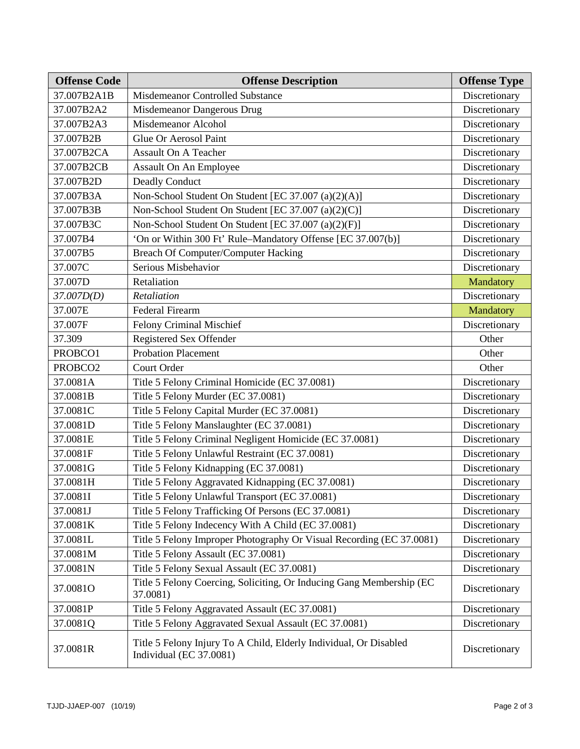| <b>Offense Code</b> | <b>Offense Description</b>                                                                   | <b>Offense Type</b> |
|---------------------|----------------------------------------------------------------------------------------------|---------------------|
| 37.007B2A1B         | Misdemeanor Controlled Substance                                                             | Discretionary       |
| 37.007B2A2          | Misdemeanor Dangerous Drug                                                                   | Discretionary       |
| 37.007B2A3          | Misdemeanor Alcohol                                                                          | Discretionary       |
| 37.007B2B           | Glue Or Aerosol Paint                                                                        | Discretionary       |
| 37.007B2CA          | <b>Assault On A Teacher</b>                                                                  | Discretionary       |
| 37.007B2CB          | Assault On An Employee                                                                       | Discretionary       |
| 37.007B2D           | <b>Deadly Conduct</b>                                                                        | Discretionary       |
| 37.007B3A           | Non-School Student On Student [EC 37.007 (a)(2)(A)]                                          | Discretionary       |
| 37.007B3B           | Non-School Student On Student [EC 37.007 (a)(2)(C)]                                          | Discretionary       |
| 37.007B3C           | Non-School Student On Student [EC 37.007 (a)(2)(F)]                                          | Discretionary       |
| 37.007B4            | 'On or Within 300 Ft' Rule-Mandatory Offense [EC 37.007(b)]                                  | Discretionary       |
| 37.007B5            | Breach Of Computer/Computer Hacking                                                          | Discretionary       |
| 37.007C             | Serious Misbehavior                                                                          | Discretionary       |
| 37.007D             | Retaliation                                                                                  | Mandatory           |
| 37.007D(D)          | Retaliation                                                                                  | Discretionary       |
| 37.007E             | <b>Federal Firearm</b>                                                                       | Mandatory           |
| 37.007F             | Felony Criminal Mischief                                                                     | Discretionary       |
| 37.309              | Registered Sex Offender                                                                      | Other               |
| PROBCO1             | <b>Probation Placement</b>                                                                   | Other               |
| PROBCO <sub>2</sub> | Court Order                                                                                  | Other               |
| 37.0081A            | Title 5 Felony Criminal Homicide (EC 37.0081)                                                | Discretionary       |
| 37.0081B            | Title 5 Felony Murder (EC 37.0081)                                                           | Discretionary       |
| 37.0081C            | Title 5 Felony Capital Murder (EC 37.0081)                                                   | Discretionary       |
| 37.0081D            | Title 5 Felony Manslaughter (EC 37.0081)                                                     | Discretionary       |
| 37.0081E            | Title 5 Felony Criminal Negligent Homicide (EC 37.0081)                                      | Discretionary       |
| 37.0081F            | Title 5 Felony Unlawful Restraint (EC 37.0081)                                               | Discretionary       |
| 37.0081G            | Title 5 Felony Kidnapping (EC 37.0081)                                                       | Discretionary       |
| 37.0081H            | Title 5 Felony Aggravated Kidnapping (EC 37.0081)                                            | Discretionary       |
| 37.0081I            | Title 5 Felony Unlawful Transport (EC 37.0081)                                               | Discretionary       |
| 37.0081J            | Title 5 Felony Trafficking Of Persons (EC 37.0081)                                           | Discretionary       |
| 37.0081K            | Title 5 Felony Indecency With A Child (EC 37.0081)                                           | Discretionary       |
| 37.0081L            | Title 5 Felony Improper Photography Or Visual Recording (EC 37.0081)                         | Discretionary       |
| 37.0081M            | Title 5 Felony Assault (EC 37.0081)                                                          | Discretionary       |
| 37.0081N            | Title 5 Felony Sexual Assault (EC 37.0081)                                                   | Discretionary       |
| 37.0081O            | Title 5 Felony Coercing, Soliciting, Or Inducing Gang Membership (EC<br>37.0081)             | Discretionary       |
| 37.0081P            | Title 5 Felony Aggravated Assault (EC 37.0081)                                               | Discretionary       |
| 37.0081Q            | Title 5 Felony Aggravated Sexual Assault (EC 37.0081)                                        | Discretionary       |
| 37.0081R            | Title 5 Felony Injury To A Child, Elderly Individual, Or Disabled<br>Individual (EC 37.0081) | Discretionary       |